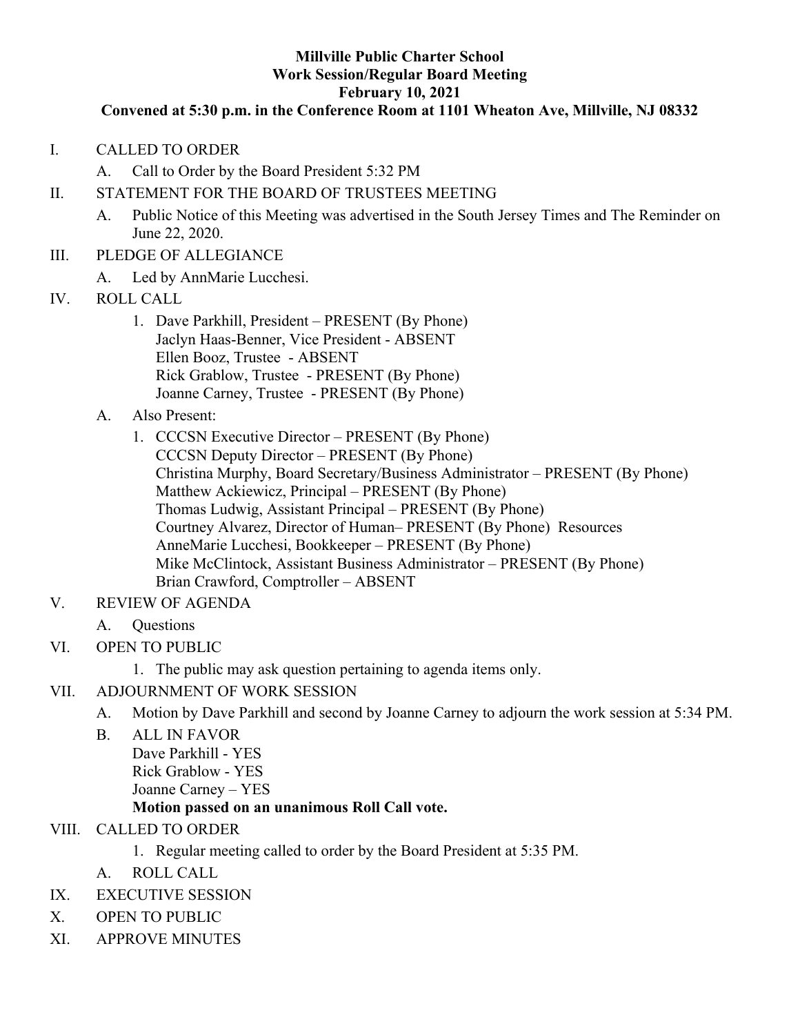#### **Millville Public Charter School Work Session/Regular Board Meeting February 10, 2021**

#### **Convened at 5:30 p.m. in the Conference Room at 1101 Wheaton Ave, Millville, NJ 08332**

- I. CALLED TO ORDER
	- A. Call to Order by the Board President 5:32 PM
- II. STATEMENT FOR THE BOARD OF TRUSTEES MEETING
	- A. Public Notice of this Meeting was advertised in the South Jersey Times and The Reminder on June 22, 2020.
- III. PLEDGE OF ALLEGIANCE
	- A. Led by AnnMarie Lucchesi.
- IV. ROLL CALL
	- 1. Dave Parkhill, President PRESENT (By Phone) Jaclyn Haas-Benner, Vice President - ABSENT Ellen Booz, Trustee - ABSENT Rick Grablow, Trustee - PRESENT (By Phone) Joanne Carney, Trustee - PRESENT (By Phone)
	- A. Also Present:
		- 1. CCCSN Executive Director PRESENT (By Phone) CCCSN Deputy Director – PRESENT (By Phone) Christina Murphy, Board Secretary/Business Administrator – PRESENT (By Phone) Matthew Ackiewicz, Principal – PRESENT (By Phone) Thomas Ludwig, Assistant Principal – PRESENT (By Phone) Courtney Alvarez, Director of Human– PRESENT (By Phone) Resources AnneMarie Lucchesi, Bookkeeper – PRESENT (By Phone) Mike McClintock, Assistant Business Administrator – PRESENT (By Phone) Brian Crawford, Comptroller – ABSENT
- V. REVIEW OF AGENDA
	- A. Questions
- VI. OPEN TO PUBLIC
	- 1. The public may ask question pertaining to agenda items only.
- VII. ADJOURNMENT OF WORK SESSION
	- A. Motion by Dave Parkhill and second by Joanne Carney to adjourn the work session at 5:34 PM.
	- B. ALL IN FAVOR Dave Parkhill - YES Rick Grablow - YES Joanne Carney – YES

## **Motion passed on an unanimous Roll Call vote.**

- VIII. CALLED TO ORDER
	- 1. Regular meeting called to order by the Board President at 5:35 PM.
	- A. ROLL CALL
- IX. EXECUTIVE SESSION
- X. OPEN TO PUBLIC
- XI. APPROVE MINUTES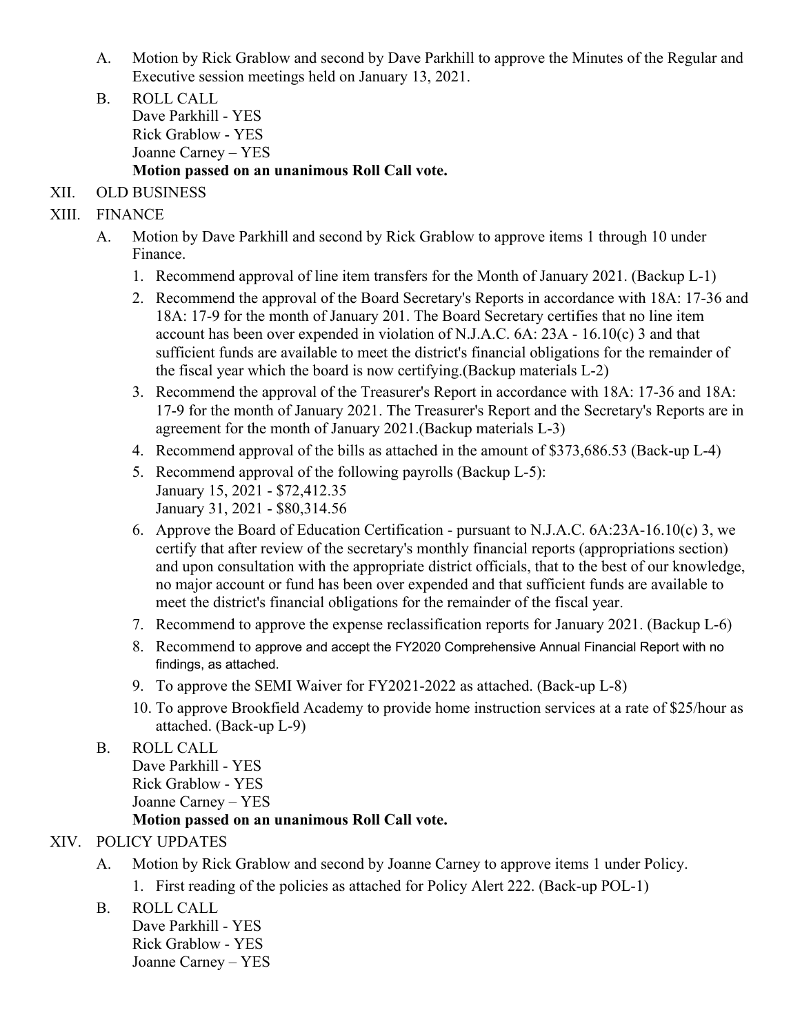- A. Motion by Rick Grablow and second by Dave Parkhill to approve the Minutes of the Regular and Executive session meetings held on January 13, 2021.
- B. ROLL CALL Dave Parkhill - YES Rick Grablow - YES Joanne Carney – YES **Motion passed on an unanimous Roll Call vote.**
- XII. OLD BUSINESS
- XIII. FINANCE
	- A. Motion by Dave Parkhill and second by Rick Grablow to approve items 1 through 10 under Finance.
		- 1. Recommend approval of line item transfers for the Month of January 2021. (Backup L-1)
		- 2. Recommend the approval of the Board Secretary's Reports in accordance with 18A: 17-36 and 18A: 17-9 for the month of January 201. The Board Secretary certifies that no line item account has been over expended in violation of N.J.A.C. 6A: 23A - 16.10(c) 3 and that sufficient funds are available to meet the district's financial obligations for the remainder of the fiscal year which the board is now certifying.(Backup materials L-2)
		- 3. Recommend the approval of the Treasurer's Report in accordance with 18A: 17-36 and 18A: 17-9 for the month of January 2021. The Treasurer's Report and the Secretary's Reports are in agreement for the month of January 2021.(Backup materials L-3)
		- 4. Recommend approval of the bills as attached in the amount of \$373,686.53 (Back-up L-4)
		- 5. Recommend approval of the following payrolls (Backup L-5):
			- January 15, 2021 \$72,412.35 January 31, 2021 - \$80,314.56
		- 6. Approve the Board of Education Certification pursuant to N.J.A.C. 6A:23A-16.10(c) 3, we certify that after review of the secretary's monthly financial reports (appropriations section) and upon consultation with the appropriate district officials, that to the best of our knowledge, no major account or fund has been over expended and that sufficient funds are available to meet the district's financial obligations for the remainder of the fiscal year.
		- 7. Recommend to approve the expense reclassification reports for January 2021. (Backup L-6)
		- 8. Recommend to approve and accept the FY2020 Comprehensive Annual Financial Report with no findings, as attached.
		- 9. To approve the SEMI Waiver for FY2021-2022 as attached. (Back-up L-8)
		- 10. To approve Brookfield Academy to provide home instruction services at a rate of \$25/hour as attached. (Back-up L-9)

### B. ROLL CALL

Dave Parkhill - YES Rick Grablow - YES Joanne Carney – YES

### **Motion passed on an unanimous Roll Call vote.**

### XIV. POLICY UPDATES

- A. Motion by Rick Grablow and second by Joanne Carney to approve items 1 under Policy. 1. First reading of the policies as attached for Policy Alert 222. (Back-up POL-1)
- B. ROLL CALL

Dave Parkhill - YES Rick Grablow - YES Joanne Carney – YES